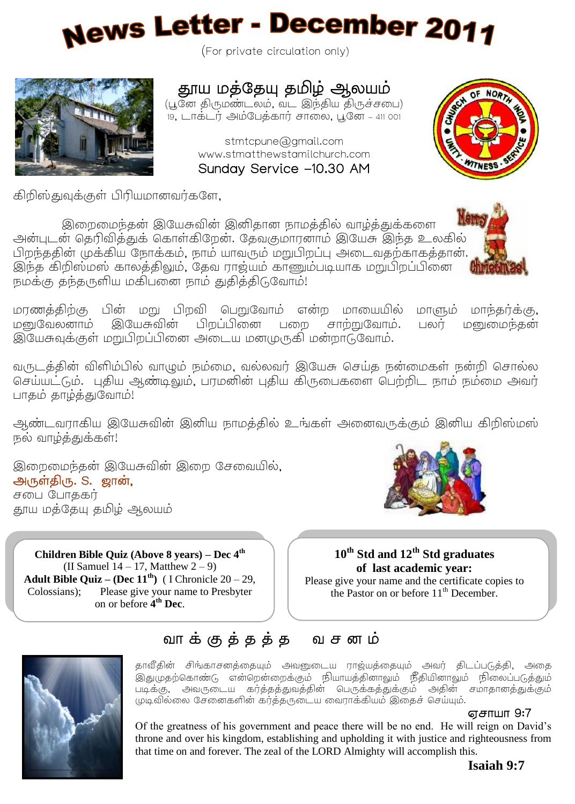# **News Letter - December 2011**

(For private circulation only)



## தாய மத்தேயு தமிழ் ஆலயம்

(பூனே திருமண்டலம், வட இந்திய திருச்சபை) 19. டாக்டர் அம்பேக்கார் சாலை. புனே – 411 001

> stmtcpune@gmail.com www.stmatthewstamilchurch.com Sunday Service -10.30 AM



கிறிஸ்குவக்குள் பிரியமானவர்களே.

இந்த கிறிஸ்மஸ் காலத்திலும், தேவ ராஜ்யம் காணும்படியாக மறுபிறப்பி<br>சமர்மா சர்களவிய மரியனை சாம் சமிக்கி6 வோல் இறைமைந்தன் இயேசுவின் இனிதான நாமத்தில் வாழ்த்துக்களை அன்புடன் தெரிவித்துக் கொள்கிறேன். தேவகுமாரனாம் இயேசு இந்த உலகில் .<br>பிறந்ததின் முக்கிய நோக்கம், நாம் யாவரும் மறுபிறப்பு அடைவதற்காகத்தான். .<br>நமக்கு தந்தருளிய மகிபனை நாம் துதித்திடுவோம்!

மரணத்திற்கு பின் மறு பிறவி பெறுவோம் என்ற மாயையில் மாளும் மாந்தர்க்கு, மன்வேலனாம் இயேசுவின் பிறப்பினை பறை சாற்றுவோம். பலர் மனுமைந்கன் இயேசுவக்குள் மறுபிறப்பினை அடைய மனமுருகி மன்றாடுவோம்.

வருடத்தின் விளிம்பில் வாழும் நம்மை, வல்லவர் இயேசு செய்த நன்மைகள் நன்றி சொல்ல செய்யட்டும். புதிய ஆண்டிலும், பரமனின் புதிய கிருபைகளை பெற்றிட நாம் நம்மை அவர் பாகம் காடிக்குவோம்!

ஆண்டவராகிய இயேசுவின் இனிய நாமத்தில் உங்கள் அனைவருக்கும் இனிய கிறிஸ்மஸ் .<br>நல வாம்க்குக்கள்!

இறைமைந்தன் இயேசுவின் இறை சேவையில், அருள்திரு. S. ஜான், சபை போககர் தாய மத்தேயு தமிழ் ஆலயம்

**Children Bible Quiz (Above 8 years) – Dec 4th** (II Samuel  $14 - 17$ , Matthew  $2 - 9$ ) **Adult Bible Quiz – (Dec 11th)** ( I Chronicle 20 – 29, Colossians); Please give your name to Presbyter on or before **4 th Dec**.



#### **10th Std and 12th Std graduates of last academic year:**

Please give your name and the certificate copies to the Pastor on or before 11<sup>th</sup> December.



ľ

l

#### வாக்குத்தத்த வசனம்

.<br>தாவீதின் சிங்காசனத்தையும் அவனுடைய ராஜ்யத்தையும் அவர் திடப்படுத்தி, அதை .<br>இதுமுதற்கொண்டு என்றென்றைக்கும் நியாயத்தினாலும் நீதியினாலும் நிலைப்படுத்தும்  $\cup$ முடிவில்லை சேனைகளின் கர்த்தருடைய வைராக்கியம் இதைச் செய்யும்.

#### எசாயா 9:7

Of the greatness of his government and peace there will be no end. He will reign on David's throne and over his kingdom, establishing and upholding it with justice and righteousness from that time on and forever. The zeal of the LORD Almighty will accomplish this.

#### **Isaiah 9:7**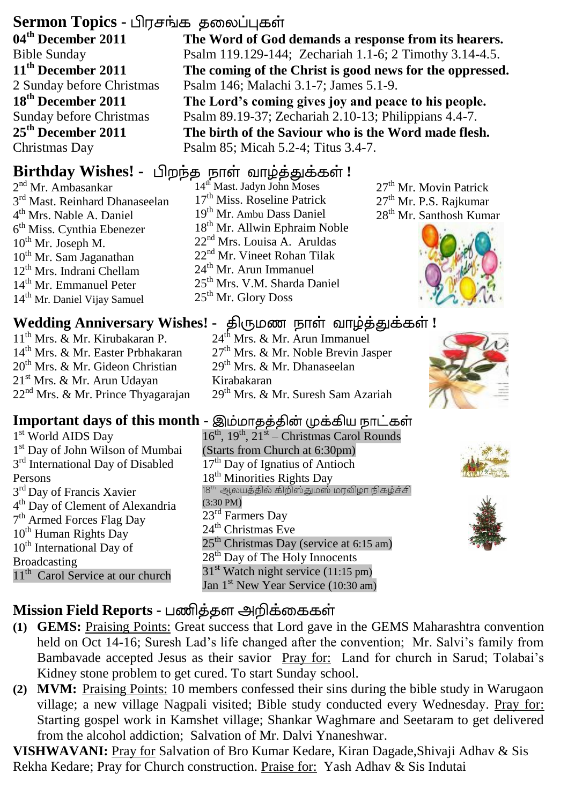#### **Sermon Topics -**

**04th December 2011** Bible Sunday **11 th December 2011** 2 Sunday before Christmas **18th December 2011** Sunday before Christmas **25 th December 2011** Christmas Day

2<sup>nd</sup> Mr. Ambasankar 3<sup>rd</sup> Mast. Reinhard Dhanaseelan 4 th Mrs. Nable A. Daniel 6<sup>th</sup> Miss. Cynthia Ebenezer  $10^{th}$  Mr. Joseph M. 10th Mr. Sam Jaganathan 12<sup>th</sup> Mrs. Indrani Chellam 14th Mr. Emmanuel Peter 14th Mr. Daniel Vijay Samuel

11th Mrs. & Mr. Kirubakaran P. 14th Mrs. & Mr. Easter Prbhakaran  $20^{th}$  Mrs. & Mr. Gideon Christian 21st Mrs. & Mr. Arun Udayan 22<sup>nd</sup> Mrs. & Mr. Prince Thyagarajan

**The Word of God demands a response from its hearers.** Psalm 119.129-144; Zechariah 1.1-6; 2 Timothy 3.14-4.5. **The coming of the Christ is good news for the oppressed.** Psalm 146; Malachi 3.1-7; James 5.1-9. **The Lord's coming gives joy and peace to his people.** Psalm 89.19-37; Zechariah 2.10-13; Philippians 4.4-7. **The birth of the Saviour who is the Word made flesh.**

Psalm 85; Micah 5.2-4; Titus 3.4-7.

### **Birthday Wishes! -** பிறந்த நாள் வாழ்த்துக்கள்!

14<sup>th</sup> Mast. Jadyn John Moses 17<sup>th</sup> Miss. Roseline Patrick 19th Mr. Ambu Dass Daniel 18<sup>th</sup> Mr. Allwin Ephraim Noble 22nd Mrs. Louisa A. Aruldas 22<sup>nd</sup> Mr. Vineet Rohan Tilak 24<sup>th</sup> Mr. Arun Immanuel 25th Mrs. V.M. Sharda Daniel 25th Mr. Glory Doss

27<sup>th</sup> Mr. Movin Patrick 27<sup>th</sup> Mr. P.S. Rajkumar 28th Mr. Santhosh Kumar



#### **Wedding Anniversary Wishes! - திருமண நாள் வாழ்த்துக்கள்!**

24<sup>th</sup> Mrs. & Mr. Arun Immanuel 27<sup>th</sup> Mrs. & Mr. Noble Brevin Jasper  $29<sup>th</sup>$  Mrs. & Mr. Dhanaseelan Kirabakaran 29th Mrs. & Mr. Suresh Sam Azariah



#### **Important days of this month -**

- 1 st World AIDS Day 1 st Day of John Wilson of Mumbai 3<sup>rd</sup> International Day of Disabled Persons 3<sup>rd</sup> Day of Francis Xavier 4 th Day of Clement of Alexandria 7<sup>th</sup> Armed Forces Flag Day 10<sup>th</sup> Human Rights Day 10<sup>th</sup> International Day of Broadcasting 11<sup>th</sup> Carol Service at our church
- 16<sup>th</sup>, 19<sup>th</sup>, 21<sup>st</sup> Christmas Carol Rounds (Starts from Church at 6:30pm) 17<sup>th</sup> Day of Ignatius of Antioch 18<sup>th</sup> Minorities Rights Day .<br>18<sup>th</sup> ஆலயக்கில் கிறிஸ்குமுஸ் மாவிமா நிகம்ச்சி (3:30 PM)  $23^{\text{rd}}$  Farmers Day  $24<sup>th</sup>$  Christmas Eve  $25<sup>th</sup>$  Christmas Day (service at 6:15 am) 28<sup>th</sup> Day of The Holy Innocents  $31<sup>st</sup>$  Watch night service (11:15 pm) Jan 1<sup>st</sup> New Year Service (10:30 am)





#### **Mission Field Reports -**

- **(1) GEMS:** Praising Points: Great success that Lord gave in the GEMS Maharashtra convention held on Oct 14-16; Suresh Lad's life changed after the convention; Mr. Salvi's family from Bambavade accepted Jesus as their savior Pray for: Land for church in Sarud; Tolabai's Kidney stone problem to get cured. To start Sunday school.
- **(2) MVM:** Praising Points: 10 members confessed their sins during the bible study in Warugaon village; a new village Nagpali visited; Bible study conducted every Wednesday. Pray for: Starting gospel work in Kamshet village; Shankar Waghmare and Seetaram to get delivered from the alcohol addiction; Salvation of Mr. Dalvi Ynaneshwar.

**VISHWAVANI:** Pray for Salvation of Bro Kumar Kedare, Kiran Dagade,Shivaji Adhav & Sis Rekha Kedare; Pray for Church construction. Praise for: Yash Adhav & Sis Indutai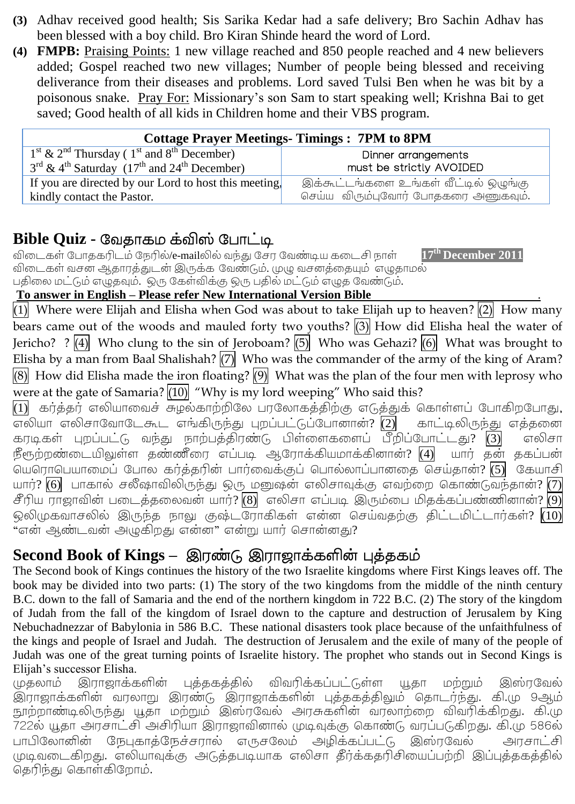- **(3)** Adhav received good health; Sis Sarika Kedar had a safe delivery; Bro Sachin Adhav has been blessed with a boy child. Bro Kiran Shinde heard the word of Lord.
- **(4) FMPB:** Praising Points: 1 new village reached and 850 people reached and 4 new believers added; Gospel reached two new villages; Number of people being blessed and receiving deliverance from their diseases and problems. Lord saved Tulsi Ben when he was bit by a poisonous snake. Pray For: Missionary's son Sam to start speaking well; Krishna Bai to get saved; Good health of all kids in Children home and their VBS program.

| <b>Cottage Prayer Meetings-Timings: 7PM to 8PM</b>                                          |                                       |  |  |  |  |
|---------------------------------------------------------------------------------------------|---------------------------------------|--|--|--|--|
| $1st$ & $2nd$ Thursday ( $1st$ and $8th$ December)                                          | Dinner arrangements                   |  |  |  |  |
| $3^{\text{rd}}$ & 4 <sup>th</sup> Saturday (17 <sup>th</sup> and 24 <sup>th</sup> December) | must be strictly AVOIDED              |  |  |  |  |
| If you are directed by our Lord to host this meeting.                                       | இக்கூட்டங்களை உங்கள் வீட்டில் ஒழுங்கு |  |  |  |  |
| kindly contact the Pastor.                                                                  | செய்ய விரும்புவோர் போதகரை அணுகவும்.   |  |  |  |  |

#### **Bible Quiz -**

 /e-mail **17th December 2011** . . .

**To answer in English – Please refer New International Version Bible** .

(1) Where were Elijah and Elisha when God was about to take Elijah up to heaven?  $(2)$  How many bears came out of the woods and mauled forty two youths? (3) How did Elisha heal the water of Jericho? ?  $\overline{4}$  Who clung to the sin of Jeroboam?  $\overline{5}$  Who was Gehazi?  $\overline{6}$  What was brought to Elisha by a man from Baal Shalishah?  $\sqrt{7}$  Who was the commander of the army of the king of Aram?  $(8)$  How did Elisha made the iron floating?  $(9)$  What was the plan of the four men with leprosy who were at the gate of Samaria?  $(10)$  "Why is my lord weeping" Who said this?

 $\overline{11}$  கா்க்கா் எலியாவைச் சுமல்காற்றிலே பாலோகக்கிற்கு எடுக்குக் கொள்ளப் போகிறபோது, ? (2) கரடிகள் புறப்பட்டு வந்து நாற்பத்திரண்டு பிள்ளைகளைப் பீறிப்போட்டது? (3) எலிசா .<br>நீளுற்றண்டையிலுள்ள கண்ணீரை எப்படி அரோக்கியமாக்கினான்? (4) யார் கன் ககப்பன் .<br>யெரொபெயாமைப் போல கர்த்தரின் பார்வைக்குப் பொல்லாப்பானதை செய்தான்? <mark>(5)</mark> கேயாசி யார்?  $\overline{(6)}$  பாகால் சலீஷாவிலிருந்து ஒரு மனுஷன் எலிசாவுக்கு எவற்றை கொண்டுவந்தான்?  $\overline{(7)}$  $\widehat{\mathcal{E}}$ ரிய ராஜாவின் படைத்தலைவன் யார்? $\widehat{\mathcal{S}}(8)$  எலிசா எப்படி இரும்பை மிதக்கப்பண்ணினான்? ஒலிமுகவாசலில் இருந்த நாலு குஷ்டரோகிகள் என்ன செய்வதற்கு திட்டமிட்டார்கள்? <mark>(10)</mark> .<br>"என் ஆண்டவன் அழுகிறது என்ன" என்று யார் சொன்னது?

#### **Second Book of Kings –**

The Second book of Kings continues the history of the two Israelite kingdoms where First Kings leaves off. The book may be divided into two parts: (1) The story of the two kingdoms from the middle of the ninth century B.C. down to the fall of Samaria and the end of the northern kingdom in 722 B.C. (2) The story of the kingdom of Judah from the fall of the kingdom of Israel down to the capture and destruction of Jerusalem by King Nebuchadnezzar of Babylonia in 586 B.C. These national disasters took place because of the unfaithfulness of the kings and people of Israel and Judah. The destruction of Jerusalem and the exile of many of the people of Judah was one of the great turning points of Israelite history. The prophet who stands out in Second Kings is Elijah's successor Elisha.<br>முதலாம் இராஜாக்களின்

விவரிக்கப்பட்டுள்ள (மதலாம் புத்தகத்தில் யகா **Lommilo** இ்்ாவேல் .<br>இராஜாக்களின் வரலாறு இரண்டு இராஜாக்களின் புத்தகத்திலும் தொடர்ந்து. கி.மு 9ஆம் நாற்றாண்டிலிருந்து யகா மற்றும் இஸ்ரவேல் அரசுகளின் வாலாற்றை விவரிக்கிறது. கி.மு 722ல் யூதா அரசாட்சி அசிரியா இராஜாவினால் முடிவுக்கு கொண்டு வரப்படுகிறது. கி.மு 586ல் பாபிலோனின் நேபகாக்நேச்சரால் எருசலேம் அழிக்கப்பட்டு இஸ்ரவேல் அரசாட்சி முடிவடைகிறது. எலியாவுக்கு அடுத்தபடியாக எலிசா தீர்க்கதரிசியைப்பற்றி இப்புத்தகத்தில் தெரிந்து கொள்கிறோம்.